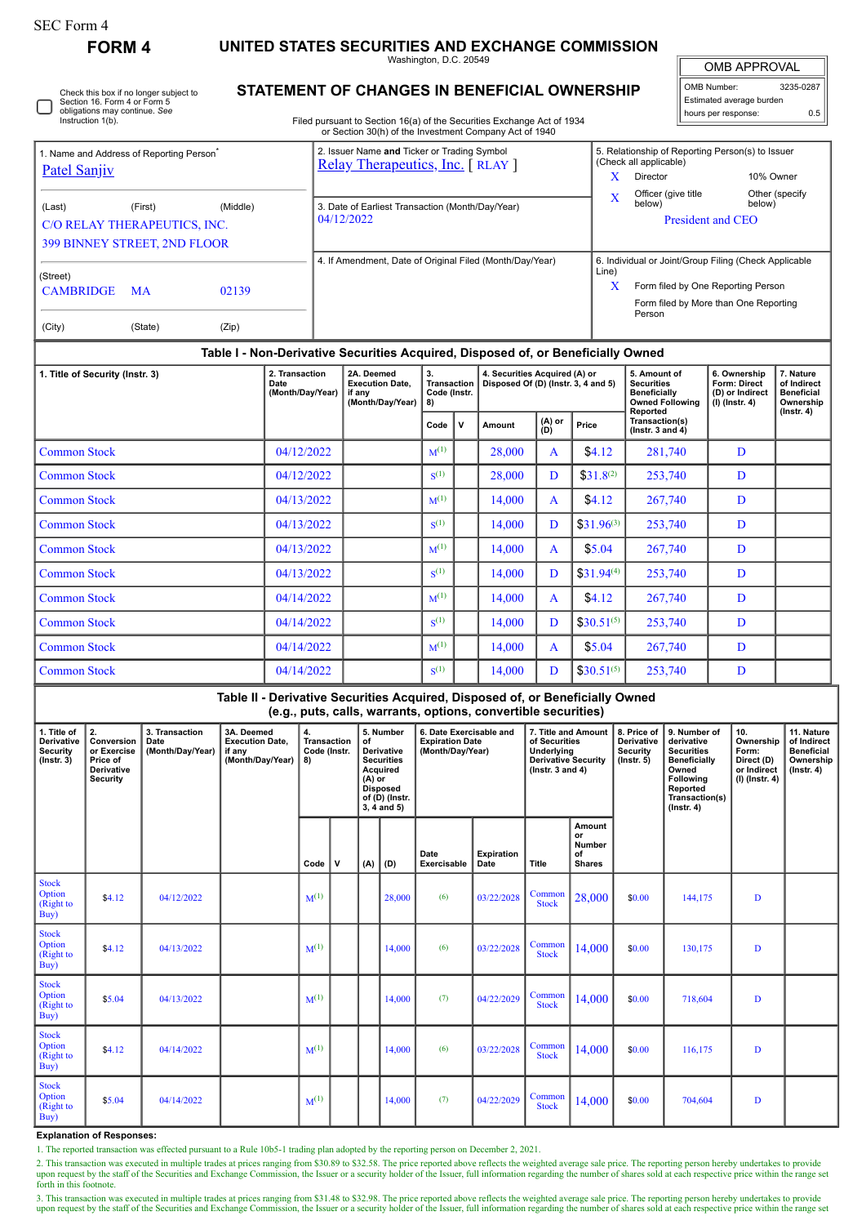П

## **FORM 4 UNITED STATES SECURITIES AND EXCHANGE COMMISSION**

Washington, D.C. 20549

 $\mathbb{F}$ OMB APPROVAL

| OMB Number:              | 3235-0287 |  |  |  |  |  |  |  |  |
|--------------------------|-----------|--|--|--|--|--|--|--|--|
| Estimated average burden |           |  |  |  |  |  |  |  |  |
| hours per response:      | 0.5       |  |  |  |  |  |  |  |  |

| Check this box if no longer subject to |
|----------------------------------------|
| Section 16. Form 4 or Form 5           |
| obligations may continue. See          |
| Instruction 1(b).                      |

## **STATEMENT OF CHANGES IN BENEFICIAL OWNERSHIP**

Filed pursuant to Section 16(a) of the Securities Exchange Act of 1934 or Section 30(h) of the Investment Company Act of 1940

|                                                      |                                            |          |                                                                    |                                                                | 2. Issuer Name and Ticker or Trading Symbol                                      |                                                                      |              |               |                                                                                                | 5. Relationship of Reporting Person(s) to Issuer                    |                                                                                |                |  |  |  |  |
|------------------------------------------------------|--------------------------------------------|----------|--------------------------------------------------------------------|----------------------------------------------------------------|----------------------------------------------------------------------------------|----------------------------------------------------------------------|--------------|---------------|------------------------------------------------------------------------------------------------|---------------------------------------------------------------------|--------------------------------------------------------------------------------|----------------|--|--|--|--|
| 1. Name and Address of Reporting Person <sup>®</sup> |                                            |          |                                                                    |                                                                | Relay Therapeutics, Inc. [RLAY]                                                  |                                                                      |              |               |                                                                                                | (Check all applicable)                                              |                                                                                |                |  |  |  |  |
| <b>Patel Sanjiv</b>                                  |                                            |          |                                                                    |                                                                |                                                                                  |                                                                      |              | $\mathbf{x}$  | Director                                                                                       |                                                                     | 10% Owner                                                                      |                |  |  |  |  |
|                                                      |                                            |          |                                                                    |                                                                |                                                                                  |                                                                      |              |               | $\overline{\mathbf{X}}$                                                                        | Officer (give title                                                 |                                                                                | Other (specify |  |  |  |  |
| (Last)                                               | (First)                                    | (Middle) |                                                                    | 3. Date of Earliest Transaction (Month/Day/Year)<br>04/12/2022 |                                                                                  |                                                                      |              |               |                                                                                                |                                                                     | below)                                                                         | below)         |  |  |  |  |
| C/O RELAY THERAPEUTICS, INC.                         |                                            |          |                                                                    |                                                                |                                                                                  |                                                                      |              |               |                                                                                                |                                                                     | President and CEO                                                              |                |  |  |  |  |
| <b>399 BINNEY STREET, 2ND FLOOR</b>                  |                                            |          |                                                                    |                                                                |                                                                                  |                                                                      |              |               |                                                                                                |                                                                     |                                                                                |                |  |  |  |  |
|                                                      |                                            |          |                                                                    | 4. If Amendment, Date of Original Filed (Month/Day/Year)       |                                                                                  |                                                                      |              |               |                                                                                                |                                                                     | 6. Individual or Joint/Group Filing (Check Applicable                          |                |  |  |  |  |
| (Street)                                             |                                            |          |                                                                    |                                                                |                                                                                  |                                                                      |              |               |                                                                                                |                                                                     | Line)<br>X<br>Form filed by One Reporting Person                               |                |  |  |  |  |
| <b>CAMBRIDGE</b>                                     | <b>MA</b>                                  | 02139    |                                                                    |                                                                |                                                                                  |                                                                      |              |               |                                                                                                |                                                                     |                                                                                |                |  |  |  |  |
|                                                      |                                            |          |                                                                    |                                                                |                                                                                  |                                                                      |              |               |                                                                                                |                                                                     | Form filed by More than One Reporting<br>Person                                |                |  |  |  |  |
| (City)                                               | (State)                                    | (Zip)    |                                                                    |                                                                |                                                                                  |                                                                      |              |               |                                                                                                |                                                                     |                                                                                |                |  |  |  |  |
|                                                      |                                            |          |                                                                    |                                                                | Table I - Non-Derivative Securities Acquired, Disposed of, or Beneficially Owned |                                                                      |              |               |                                                                                                |                                                                     |                                                                                |                |  |  |  |  |
| 1. Title of Security (Instr. 3)                      | 2. Transaction<br>Date<br>(Month/Day/Year) |          | 2A. Deemed<br><b>Execution Date.</b><br>if any<br>(Month/Day/Year) | 3.<br>Transaction<br>Code (Instr.<br>8)                        |                                                                                  | 4. Securities Acquired (A) or<br>Disposed Of (D) (Instr. 3, 4 and 5) |              |               | 5. Amount of<br><b>Securities</b><br><b>Beneficially</b><br><b>Owned Following</b><br>Reported | 6. Ownership<br>Form: Direct<br>(D) or Indirect<br>$(I)$ (Instr. 4) | 7. Nature<br>of Indirect<br><b>Beneficial</b><br>Ownership<br>$($ Instr. 4 $)$ |                |  |  |  |  |
|                                                      |                                            |          |                                                                    |                                                                |                                                                                  | Code                                                                 | $\mathbf v$  | <b>Amount</b> | (A) or<br>(D)                                                                                  | Price                                                               | Transaction(s)<br>( $lnstr.$ 3 and 4)                                          |                |  |  |  |  |
| <b>Common Stock</b>                                  | 04/12/2022                                 |          |                                                                    | $M^{(1)}$                                                      |                                                                                  | 28.000                                                               | $\mathsf{A}$ | \$4.12        | 281,740                                                                                        | D                                                                   |                                                                                |                |  |  |  |  |
| <b>Common Stock</b><br>04/12/2022                    |                                            |          |                                                                    |                                                                |                                                                                  | $\mathbf{S}^{(1)}$                                                   |              | 28.000        | D                                                                                              | $$31.8^{(2)}$                                                       | 253,740                                                                        | D              |  |  |  |  |
| <b>Common Stock</b><br>04/13/2022                    |                                            |          |                                                                    |                                                                |                                                                                  | $M^{(1)}$                                                            |              | 14.000        | A                                                                                              | \$4.12                                                              | 267,740                                                                        | D              |  |  |  |  |
| <b>Common Stock</b><br>04/13/2022                    |                                            |          |                                                                    |                                                                |                                                                                  | $S^{(1)}$                                                            |              | 14.000        | D                                                                                              | $$31.96^{(3)}$                                                      | 253,740                                                                        | D              |  |  |  |  |
| <b>Common Stock</b><br>04/13/2022                    |                                            |          |                                                                    |                                                                |                                                                                  | $M^{(1)}$                                                            |              | 14.000        | A                                                                                              | \$5.04                                                              | 267,740                                                                        | D              |  |  |  |  |
| <b>Common Stock</b><br>04/13/2022                    |                                            |          |                                                                    |                                                                |                                                                                  | $\mathbf{S}^{(1)}$                                                   |              | 14.000        | D                                                                                              | $$31.94^{(4)}$                                                      | 253,740                                                                        | D              |  |  |  |  |
| <b>Common Stock</b><br>04/14/2022                    |                                            |          |                                                                    |                                                                |                                                                                  | $M^{(1)}$                                                            |              | 14,000        | A                                                                                              | \$4.12                                                              | 267,740                                                                        | D              |  |  |  |  |
| <b>Common Stock</b><br>04/14/2022                    |                                            |          |                                                                    |                                                                |                                                                                  | $\mathbf{S}^{(1)}$                                                   |              | 14.000        | D                                                                                              | $$30.51^{(5)}$                                                      | 253.740                                                                        | D              |  |  |  |  |

3. This transaction was executed in multiple trades at prices ranging from \$31.48 to \$32.98. The price reported above reflects the weighted average sale price. The reporting person hereby undertakes to provide upon request

|                                                                 | Table II - Derivative Securities Acquired, Disposed of, or Beneficially Owned<br>(e.g., puts, calls, warrants, options, convertible securities) |                                            |                                                                    |                                                |              |                                                                                                                                    |        |                                                                       |                    |                                                                                                            |                                                      |                                                                        |                                                                                                                                                |                                                                          |                                                                                 |
|-----------------------------------------------------------------|-------------------------------------------------------------------------------------------------------------------------------------------------|--------------------------------------------|--------------------------------------------------------------------|------------------------------------------------|--------------|------------------------------------------------------------------------------------------------------------------------------------|--------|-----------------------------------------------------------------------|--------------------|------------------------------------------------------------------------------------------------------------|------------------------------------------------------|------------------------------------------------------------------------|------------------------------------------------------------------------------------------------------------------------------------------------|--------------------------------------------------------------------------|---------------------------------------------------------------------------------|
| 1. Title of<br><b>Derivative</b><br>Security<br>$($ Instr. $3)$ | 2.<br>Conversion<br>or Exercise<br>Price of<br>Derivative<br><b>Security</b>                                                                    | 3. Transaction<br>Date<br>(Month/Day/Year) | 3A. Deemed<br><b>Execution Date,</b><br>if any<br>(Month/Day/Year) | 4.<br><b>Transaction</b><br>Code (Instr.<br>8) |              | 5. Number<br>of<br>Derivative<br><b>Securities</b><br>Acquired<br>$(A)$ or<br><b>Disposed</b><br>of (D) (Instr.<br>$3, 4$ and $5)$ |        | 6. Date Exercisable and<br><b>Expiration Date</b><br>(Month/Day/Year) |                    | 7. Title and Amount<br>of Securities<br>Underlying<br><b>Derivative Security</b><br>$($ lnstr. 3 and 4 $)$ |                                                      | 8. Price of<br><b>Derivative</b><br><b>Security</b><br>$($ lnstr. $5)$ | 9. Number of<br>derivative<br><b>Securities</b><br><b>Beneficially</b><br>Owned<br>Following<br>Reported<br>Transaction(s)<br>$($ Instr. 4 $)$ | 10.<br>Ownership<br>Form:<br>Direct (D)<br>or Indirect<br>(I) (Instr. 4) | 11. Nature<br>of Indirect<br><b>Beneficial</b><br>Ownership<br>$($ Instr. 4 $)$ |
|                                                                 |                                                                                                                                                 |                                            |                                                                    | Code                                           | $\mathbf{V}$ | (A)                                                                                                                                | (D)    | Date<br>Exercisable                                                   | Expiration<br>Date | Title                                                                                                      | Amount<br>or<br><b>Number</b><br>of<br><b>Shares</b> |                                                                        |                                                                                                                                                |                                                                          |                                                                                 |
| <b>Stock</b><br>Option<br>(Right to<br>Buy)                     | \$4.12                                                                                                                                          | 04/12/2022                                 |                                                                    | $M^{(1)}$                                      |              |                                                                                                                                    | 28,000 | (6)                                                                   | 03/22/2028         | Common<br><b>Stock</b>                                                                                     | 28,000                                               | \$0.00                                                                 | 144,175                                                                                                                                        | D                                                                        |                                                                                 |
| <b>Stock</b><br>Option<br>(Right to<br>Buy)                     | \$4.12                                                                                                                                          | 04/13/2022                                 |                                                                    | $M^{(1)}$                                      |              |                                                                                                                                    | 14,000 | (6)                                                                   | 03/22/2028         | Common<br><b>Stock</b>                                                                                     | 14,000                                               | \$0.00                                                                 | 130,175                                                                                                                                        | D                                                                        |                                                                                 |
| <b>Stock</b><br>Option<br>(Right to<br>Buy)                     | \$5.04                                                                                                                                          | 04/13/2022                                 |                                                                    | $M^{(1)}$                                      |              |                                                                                                                                    | 14,000 | (7)                                                                   | 04/22/2029         | Common<br><b>Stock</b>                                                                                     | 14,000                                               | \$0.00                                                                 | 718,604                                                                                                                                        | D                                                                        |                                                                                 |
| <b>Stock</b><br>Option<br>(Right to<br>Buy)                     | \$4.12                                                                                                                                          | 04/14/2022                                 |                                                                    | $M^{(1)}$                                      |              |                                                                                                                                    | 14,000 | (6)                                                                   | 03/22/2028         | Common<br><b>Stock</b>                                                                                     | 14,000                                               | \$0.00                                                                 | 116,175                                                                                                                                        | D                                                                        |                                                                                 |
| <b>Stock</b><br>Option<br>(Right to<br>Buy)                     | \$5.04                                                                                                                                          | 04/14/2022                                 |                                                                    | $M^{(1)}$                                      |              |                                                                                                                                    | 14,000 | (7)                                                                   | 04/22/2029         | Common<br><b>Stock</b>                                                                                     | 14,000                                               | \$0.00                                                                 | 704,604                                                                                                                                        | D                                                                        |                                                                                 |

Common Stock  $04/14/2022$   $M^{(1)}$  14,000 A \$5.04 267,740 D

 $14,000$  D  $\left| \right.$  \$30.51<sup>(5)</sup> 253,740 D

**Explanation of Responses:**

1. The reported transaction was effected pursuant to a Rule 10b5-1 trading plan adopted by the reporting person on December 2, 2021.

 $Common Stock$   $04/14/2022$   $S^{(1)}$ 

2. This transaction was executed in multiple trades at prices ranging from \$30.89 to \$32.58. The price reported above reflects the weighted average sale price. The reporting person hereby undertakes to provide<br>upon request forth in this footnote.